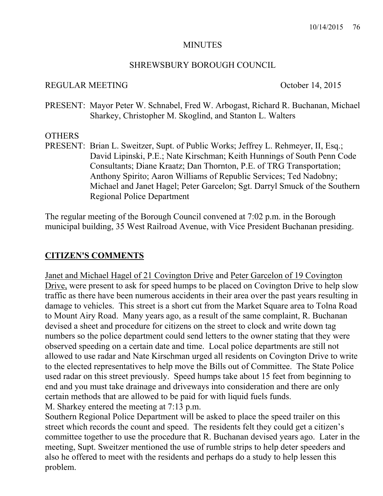#### MINUTES

#### SHREWSBURY BOROUGH COUNCIL

#### REGULAR MEETING October 14, 2015

PRESENT: Mayor Peter W. Schnabel, Fred W. Arbogast, Richard R. Buchanan, Michael Sharkey, Christopher M. Skoglind, and Stanton L. Walters

#### **OTHERS**

PRESENT: Brian L. Sweitzer, Supt. of Public Works; Jeffrey L. Rehmeyer, II, Esq.; David Lipinski, P.E.; Nate Kirschman; Keith Hunnings of South Penn Code Consultants; Diane Kraatz; Dan Thornton, P.E. of TRG Transportation; Anthony Spirito; Aaron Williams of Republic Services; Ted Nadobny; Michael and Janet Hagel; Peter Garcelon; Sgt. Darryl Smuck of the Southern Regional Police Department

The regular meeting of the Borough Council convened at 7:02 p.m. in the Borough municipal building, 35 West Railroad Avenue, with Vice President Buchanan presiding.

#### **CITIZEN'S COMMENTS**

Janet and Michael Hagel of 21 Covington Drive and Peter Garcelon of 19 Covington Drive, were present to ask for speed humps to be placed on Covington Drive to help slow traffic as there have been numerous accidents in their area over the past years resulting in damage to vehicles. This street is a short cut from the Market Square area to Tolna Road to Mount Airy Road. Many years ago, as a result of the same complaint, R. Buchanan devised a sheet and procedure for citizens on the street to clock and write down tag numbers so the police department could send letters to the owner stating that they were observed speeding on a certain date and time. Local police departments are still not allowed to use radar and Nate Kirschman urged all residents on Covington Drive to write to the elected representatives to help move the Bills out of Committee. The State Police used radar on this street previously. Speed humps take about 15 feet from beginning to end and you must take drainage and driveways into consideration and there are only certain methods that are allowed to be paid for with liquid fuels funds.

M. Sharkey entered the meeting at 7:13 p.m.

Southern Regional Police Department will be asked to place the speed trailer on this street which records the count and speed. The residents felt they could get a citizen's committee together to use the procedure that R. Buchanan devised years ago. Later in the meeting, Supt. Sweitzer mentioned the use of rumble strips to help deter speeders and also he offered to meet with the residents and perhaps do a study to help lessen this problem.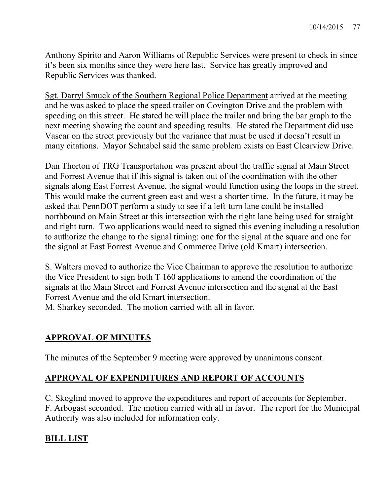Anthony Spirito and Aaron Williams of Republic Services were present to check in since it's been six months since they were here last. Service has greatly improved and Republic Services was thanked.

Sgt. Darryl Smuck of the Southern Regional Police Department arrived at the meeting and he was asked to place the speed trailer on Covington Drive and the problem with speeding on this street. He stated he will place the trailer and bring the bar graph to the next meeting showing the count and speeding results. He stated the Department did use Vascar on the street previously but the variance that must be used it doesn't result in many citations. Mayor Schnabel said the same problem exists on East Clearview Drive.

Dan Thorton of TRG Transportation was present about the traffic signal at Main Street and Forrest Avenue that if this signal is taken out of the coordination with the other signals along East Forrest Avenue, the signal would function using the loops in the street. This would make the current green east and west a shorter time. In the future, it may be asked that PennDOT perform a study to see if a left-turn lane could be installed northbound on Main Street at this intersection with the right lane being used for straight and right turn. Two applications would need to signed this evening including a resolution to authorize the change to the signal timing: one for the signal at the square and one for the signal at East Forrest Avenue and Commerce Drive (old Kmart) intersection.

S. Walters moved to authorize the Vice Chairman to approve the resolution to authorize the Vice President to sign both T 160 applications to amend the coordination of the signals at the Main Street and Forrest Avenue intersection and the signal at the East Forrest Avenue and the old Kmart intersection.

M. Sharkey seconded. The motion carried with all in favor.

# **APPROVAL OF MINUTES**

The minutes of the September 9 meeting were approved by unanimous consent.

# **APPROVAL OF EXPENDITURES AND REPORT OF ACCOUNTS**

C. Skoglind moved to approve the expenditures and report of accounts for September. F. Arbogast seconded. The motion carried with all in favor. The report for the Municipal Authority was also included for information only.

# **BILL LIST**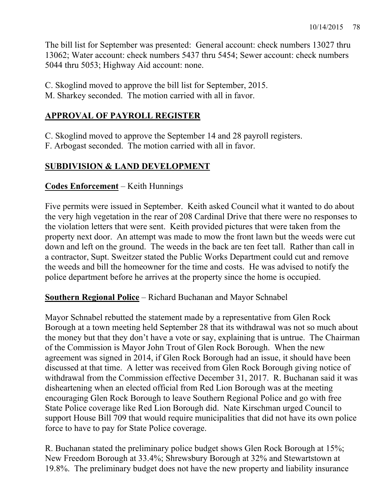The bill list for September was presented: General account: check numbers 13027 thru 13062; Water account: check numbers 5437 thru 5454; Sewer account: check numbers 5044 thru 5053; Highway Aid account: none.

C. Skoglind moved to approve the bill list for September, 2015.

M. Sharkey seconded. The motion carried with all in favor.

# **APPROVAL OF PAYROLL REGISTER**

C. Skoglind moved to approve the September 14 and 28 payroll registers.

F. Arbogast seconded. The motion carried with all in favor.

# **SUBDIVISION & LAND DEVELOPMENT**

# **Codes Enforcement** – Keith Hunnings

Five permits were issued in September. Keith asked Council what it wanted to do about the very high vegetation in the rear of 208 Cardinal Drive that there were no responses to the violation letters that were sent. Keith provided pictures that were taken from the property next door. An attempt was made to mow the front lawn but the weeds were cut down and left on the ground. The weeds in the back are ten feet tall. Rather than call in a contractor, Supt. Sweitzer stated the Public Works Department could cut and remove the weeds and bill the homeowner for the time and costs. He was advised to notify the police department before he arrives at the property since the home is occupied.

**Southern Regional Police** – Richard Buchanan and Mayor Schnabel

Mayor Schnabel rebutted the statement made by a representative from Glen Rock Borough at a town meeting held September 28 that its withdrawal was not so much about the money but that they don't have a vote or say, explaining that is untrue. The Chairman of the Commission is Mayor John Trout of Glen Rock Borough. When the new agreement was signed in 2014, if Glen Rock Borough had an issue, it should have been discussed at that time. A letter was received from Glen Rock Borough giving notice of withdrawal from the Commission effective December 31, 2017. R. Buchanan said it was disheartening when an elected official from Red Lion Borough was at the meeting encouraging Glen Rock Borough to leave Southern Regional Police and go with free State Police coverage like Red Lion Borough did. Nate Kirschman urged Council to support House Bill 709 that would require municipalities that did not have its own police force to have to pay for State Police coverage.

R. Buchanan stated the preliminary police budget shows Glen Rock Borough at 15%; New Freedom Borough at 33.4%; Shrewsbury Borough at 32% and Stewartstown at 19.8%. The preliminary budget does not have the new property and liability insurance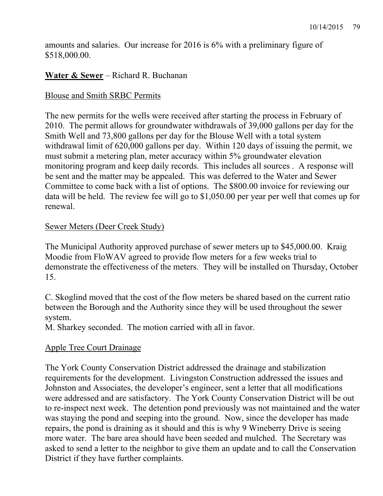amounts and salaries. Our increase for 2016 is 6% with a preliminary figure of \$518,000.00.

# **Water & Sewer** – Richard R. Buchanan

### Blouse and Smith SRBC Permits

The new permits for the wells were received after starting the process in February of 2010. The permit allows for groundwater withdrawals of 39,000 gallons per day for the Smith Well and 73,800 gallons per day for the Blouse Well with a total system withdrawal limit of 620,000 gallons per day. Within 120 days of issuing the permit, we must submit a metering plan, meter accuracy within 5% groundwater elevation monitoring program and keep daily records. This includes all sources . A response will be sent and the matter may be appealed. This was deferred to the Water and Sewer Committee to come back with a list of options. The \$800.00 invoice for reviewing our data will be held. The review fee will go to \$1,050.00 per year per well that comes up for renewal.

## Sewer Meters (Deer Creek Study)

The Municipal Authority approved purchase of sewer meters up to \$45,000.00. Kraig Moodie from FloWAV agreed to provide flow meters for a few weeks trial to demonstrate the effectiveness of the meters. They will be installed on Thursday, October 15.

C. Skoglind moved that the cost of the flow meters be shared based on the current ratio between the Borough and the Authority since they will be used throughout the sewer system.

M. Sharkey seconded. The motion carried with all in favor.

## Apple Tree Court Drainage

The York County Conservation District addressed the drainage and stabilization requirements for the development. Livingston Construction addressed the issues and Johnston and Associates, the developer's engineer, sent a letter that all modifications were addressed and are satisfactory. The York County Conservation District will be out to re-inspect next week. The detention pond previously was not maintained and the water was staying the pond and seeping into the ground. Now, since the developer has made repairs, the pond is draining as it should and this is why 9 Wineberry Drive is seeing more water. The bare area should have been seeded and mulched. The Secretary was asked to send a letter to the neighbor to give them an update and to call the Conservation District if they have further complaints.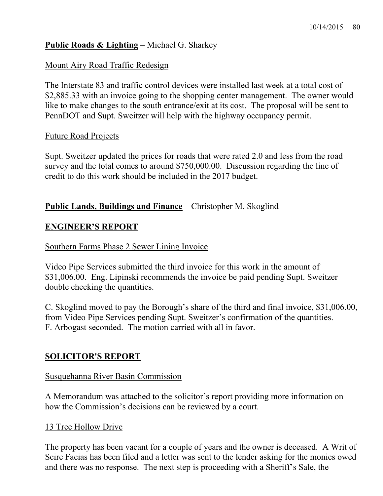## **Public Roads & Lighting** – Michael G. Sharkey

### Mount Airy Road Traffic Redesign

The Interstate 83 and traffic control devices were installed last week at a total cost of \$2,885.33 with an invoice going to the shopping center management. The owner would like to make changes to the south entrance/exit at its cost. The proposal will be sent to PennDOT and Supt. Sweitzer will help with the highway occupancy permit.

#### Future Road Projects

Supt. Sweitzer updated the prices for roads that were rated 2.0 and less from the road survey and the total comes to around \$750,000.00. Discussion regarding the line of credit to do this work should be included in the 2017 budget.

## **Public Lands, Buildings and Finance** – Christopher M. Skoglind

## **ENGINEER'S REPORT**

#### Southern Farms Phase 2 Sewer Lining Invoice

Video Pipe Services submitted the third invoice for this work in the amount of \$31,006.00. Eng. Lipinski recommends the invoice be paid pending Supt. Sweitzer double checking the quantities.

C. Skoglind moved to pay the Borough's share of the third and final invoice, \$31,006.00, from Video Pipe Services pending Supt. Sweitzer's confirmation of the quantities. F. Arbogast seconded. The motion carried with all in favor.

## **SOLICITOR'S REPORT**

#### Susquehanna River Basin Commission

A Memorandum was attached to the solicitor's report providing more information on how the Commission's decisions can be reviewed by a court.

#### 13 Tree Hollow Drive

The property has been vacant for a couple of years and the owner is deceased. A Writ of Scire Facias has been filed and a letter was sent to the lender asking for the monies owed and there was no response. The next step is proceeding with a Sheriff's Sale, the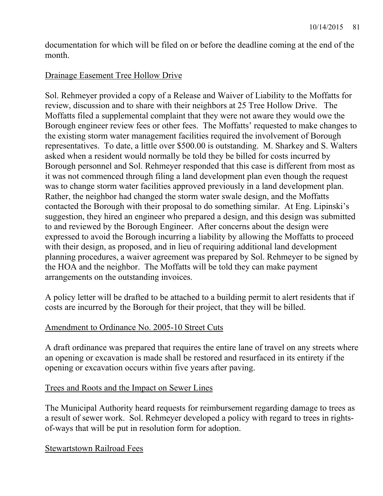documentation for which will be filed on or before the deadline coming at the end of the month.

## Drainage Easement Tree Hollow Drive

Sol. Rehmeyer provided a copy of a Release and Waiver of Liability to the Moffatts for review, discussion and to share with their neighbors at 25 Tree Hollow Drive. The Moffatts filed a supplemental complaint that they were not aware they would owe the Borough engineer review fees or other fees. The Moffatts' requested to make changes to the existing storm water management facilities required the involvement of Borough representatives. To date, a little over \$500.00 is outstanding. M. Sharkey and S. Walters asked when a resident would normally be told they be billed for costs incurred by Borough personnel and Sol. Rehmeyer responded that this case is different from most as it was not commenced through filing a land development plan even though the request was to change storm water facilities approved previously in a land development plan. Rather, the neighbor had changed the storm water swale design, and the Moffatts contacted the Borough with their proposal to do something similar. At Eng. Lipinski's suggestion, they hired an engineer who prepared a design, and this design was submitted to and reviewed by the Borough Engineer. After concerns about the design were expressed to avoid the Borough incurring a liability by allowing the Moffatts to proceed with their design, as proposed, and in lieu of requiring additional land development planning procedures, a waiver agreement was prepared by Sol. Rehmeyer to be signed by the HOA and the neighbor. The Moffatts will be told they can make payment arrangements on the outstanding invoices.

A policy letter will be drafted to be attached to a building permit to alert residents that if costs are incurred by the Borough for their project, that they will be billed.

## Amendment to Ordinance No. 2005-10 Street Cuts

A draft ordinance was prepared that requires the entire lane of travel on any streets where an opening or excavation is made shall be restored and resurfaced in its entirety if the opening or excavation occurs within five years after paving.

#### Trees and Roots and the Impact on Sewer Lines

The Municipal Authority heard requests for reimbursement regarding damage to trees as a result of sewer work. Sol. Rehmeyer developed a policy with regard to trees in rightsof-ways that will be put in resolution form for adoption.

Stewartstown Railroad Fees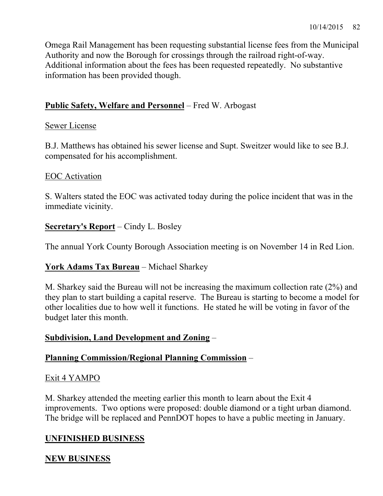Omega Rail Management has been requesting substantial license fees from the Municipal Authority and now the Borough for crossings through the railroad right-of-way. Additional information about the fees has been requested repeatedly. No substantive information has been provided though.

## **Public Safety, Welfare and Personnel** – Fred W. Arbogast

### Sewer License

B.J. Matthews has obtained his sewer license and Supt. Sweitzer would like to see B.J. compensated for his accomplishment.

## EOC Activation

S. Walters stated the EOC was activated today during the police incident that was in the immediate vicinity.

## **Secretary's Report** – Cindy L. Bosley

The annual York County Borough Association meeting is on November 14 in Red Lion.

## **York Adams Tax Bureau** – Michael Sharkey

M. Sharkey said the Bureau will not be increasing the maximum collection rate (2%) and they plan to start building a capital reserve. The Bureau is starting to become a model for other localities due to how well it functions. He stated he will be voting in favor of the budget later this month.

## **Subdivision, Land Development and Zoning** –

## **Planning Commission/Regional Planning Commission** –

## Exit 4 YAMPO

M. Sharkey attended the meeting earlier this month to learn about the Exit 4 improvements. Two options were proposed: double diamond or a tight urban diamond. The bridge will be replaced and PennDOT hopes to have a public meeting in January.

# **UNFINISHED BUSINESS**

## **NEW BUSINESS**